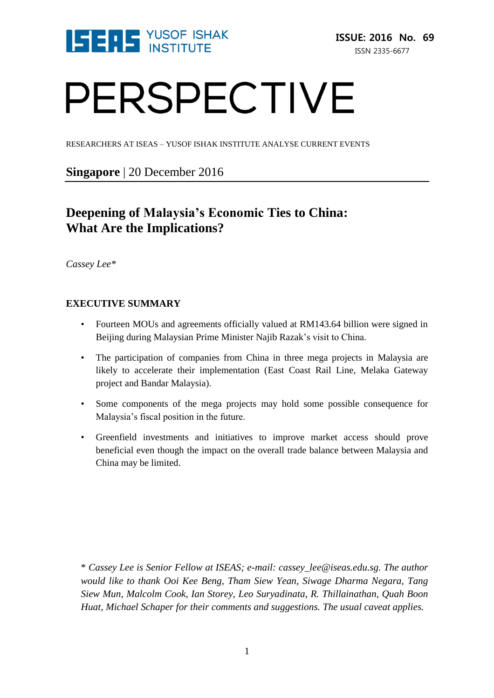

# PERSPECTIVE

RESEARCHERS AT ISEAS – YUSOF ISHAK INSTITUTE ANALYSE CURRENT EVENTS

**Singapore** | 20 December 2016

# **Deepening of Malaysia's Economic Ties to China: What Are the Implications?**

*Cassey Lee\**

# **EXECUTIVE SUMMARY**

- Fourteen MOUs and agreements officially valued at RM143.64 billion were signed in Beijing during Malaysian Prime Minister Najib Razak's visit to China.
- The participation of companies from China in three mega projects in Malaysia are likely to accelerate their implementation (East Coast Rail Line, Melaka Gateway project and Bandar Malaysia).
- Some components of the mega projects may hold some possible consequence for Malaysia's fiscal position in the future.
- Greenfield investments and initiatives to improve market access should prove beneficial even though the impact on the overall trade balance between Malaysia and China may be limited.

\* *Cassey Lee is Senior Fellow at ISEAS; e-mail: cassey\_lee@iseas.edu.sg. The author would like to thank Ooi Kee Beng, Tham Siew Yean, Siwage Dharma Negara, Tang Siew Mun, Malcolm Cook, Ian Storey, Leo Suryadinata, R. Thillainathan, Quah Boon Huat, Michael Schaper for their comments and suggestions. The usual caveat applies.*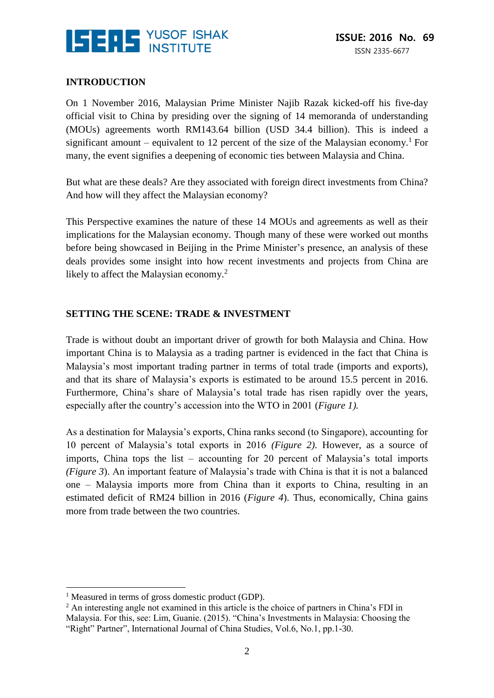

# **INTRODUCTION**

On 1 November 2016, Malaysian Prime Minister Najib Razak kicked-off his five-day official visit to China by presiding over the signing of 14 memoranda of understanding (MOUs) agreements worth RM143.64 billion (USD 34.4 billion). This is indeed a significant amount – equivalent to 12 percent of the size of the Malaysian economy.<sup>1</sup> For many, the event signifies a deepening of economic ties between Malaysia and China.

But what are these deals? Are they associated with foreign direct investments from China? And how will they affect the Malaysian economy?

This Perspective examines the nature of these 14 MOUs and agreements as well as their implications for the Malaysian economy. Though many of these were worked out months before being showcased in Beijing in the Prime Minister's presence, an analysis of these deals provides some insight into how recent investments and projects from China are likely to affect the Malaysian economy.<sup>2</sup>

# **SETTING THE SCENE: TRADE & INVESTMENT**

Trade is without doubt an important driver of growth for both Malaysia and China. How important China is to Malaysia as a trading partner is evidenced in the fact that China is Malaysia's most important trading partner in terms of total trade (imports and exports), and that its share of Malaysia's exports is estimated to be around 15.5 percent in 2016. Furthermore, China's share of Malaysia's total trade has risen rapidly over the years, especially after the country's accession into the WTO in 2001 (*Figure 1).*

As a destination for Malaysia's exports, China ranks second (to Singapore), accounting for 10 percent of Malaysia's total exports in 2016 *(Figure 2).* However, as a source of imports, China tops the list – accounting for 20 percent of Malaysia's total imports *(Figure 3*). An important feature of Malaysia's trade with China is that it is not a balanced one – Malaysia imports more from China than it exports to China, resulting in an estimated deficit of RM24 billion in 2016 (*Figure 4*). Thus, economically, China gains more from trade between the two countries.

<sup>&</sup>lt;sup>1</sup> Measured in terms of gross domestic product (GDP).

<sup>2</sup> An interesting angle not examined in this article is the choice of partners in China's FDI in Malaysia. For this, see: Lim, Guanie. (2015). "China's Investments in Malaysia: Choosing the "Right" Partner", International Journal of China Studies, Vol.6, No.1, pp.1-30.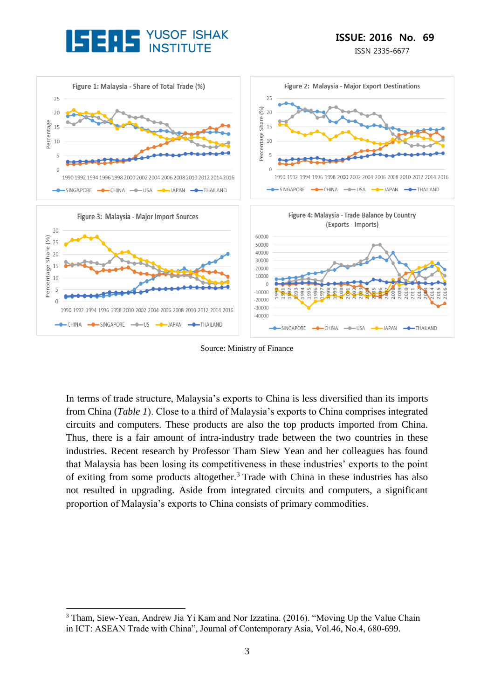

ISSN 2335-6677



Source: Ministry of Finance

In terms of trade structure, Malaysia's exports to China is less diversified than its imports from China (*Table 1*). Close to a third of Malaysia's exports to China comprises integrated circuits and computers. These products are also the top products imported from China. Thus, there is a fair amount of intra-industry trade between the two countries in these industries. Recent research by Professor Tham Siew Yean and her colleagues has found that Malaysia has been losing its competitiveness in these industries' exports to the point of exiting from some products altogether.<sup>3</sup> Trade with China in these industries has also not resulted in upgrading. Aside from integrated circuits and computers, a significant proportion of Malaysia's exports to China consists of primary commodities.

<sup>&</sup>lt;u>.</u> <sup>3</sup> Tham, Siew-Yean, Andrew Jia Yi Kam and Nor Izzatina. (2016). "Moving Up the Value Chain in ICT: ASEAN Trade with China", Journal of Contemporary Asia, Vol.46, No.4, 680-699.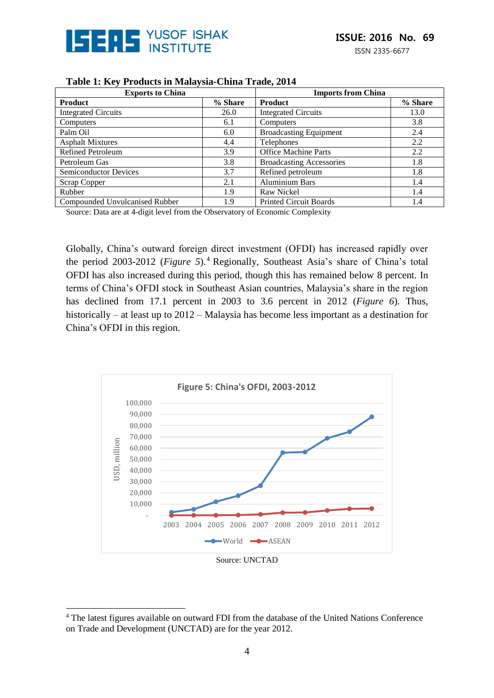

| <b>Exports to China</b>        |         | <b>Imports from China</b>       |         |
|--------------------------------|---------|---------------------------------|---------|
| <b>Product</b>                 | % Share | <b>Product</b>                  | % Share |
| <b>Integrated Circuits</b>     | 26.0    | <b>Integrated Circuits</b>      | 13.0    |
| Computers                      | 6.1     | Computers                       | 3.8     |
| Palm Oil                       | 6.0     | <b>Broadcasting Equipment</b>   | 2.4     |
| <b>Asphalt Mixtures</b>        | 4.4     | Telephones                      | 2.2     |
| <b>Refined Petroleum</b>       | 3.9     | <b>Office Machine Parts</b>     | 2.2     |
| Petroleum Gas                  | 3.8     | <b>Broadcasting Accessories</b> | 1.8     |
| <b>Semiconductor Devices</b>   | 3.7     | Refined petroleum               | 1.8     |
| Scrap Copper                   | 2.1     | <b>Aluminium Bars</b>           | 1.4     |
| Rubber                         | 1.9     | <b>Raw Nickel</b>               | 1.4     |
| Compounded Unvulcanised Rubber | 1.9     | <b>Printed Circuit Boards</b>   | 1.4     |

#### **Table 1: Key Products in Malaysia-China Trade, 2014**

Source: Data are at 4-digit level from the Observatory of Economic Complexity

Globally, China's outward foreign direct investment (OFDI) has increased rapidly over the period 2003-2012 (*Figure 5*).<sup>4</sup> Regionally, Southeast Asia's share of China's total OFDI has also increased during this period, though this has remained below 8 percent. In terms of China's OFDI stock in Southeast Asian countries, Malaysia's share in the region has declined from 17.1 percent in 2003 to 3.6 percent in 2012 (*Figure 6*). Thus, historically – at least up to 2012 – Malaysia has become less important as a destination for China's OFDI in this region.



#### Source: UNCTAD

<sup>4</sup> The latest figures available on outward FDI from the database of the United Nations Conference on Trade and Development (UNCTAD) are for the year 2012.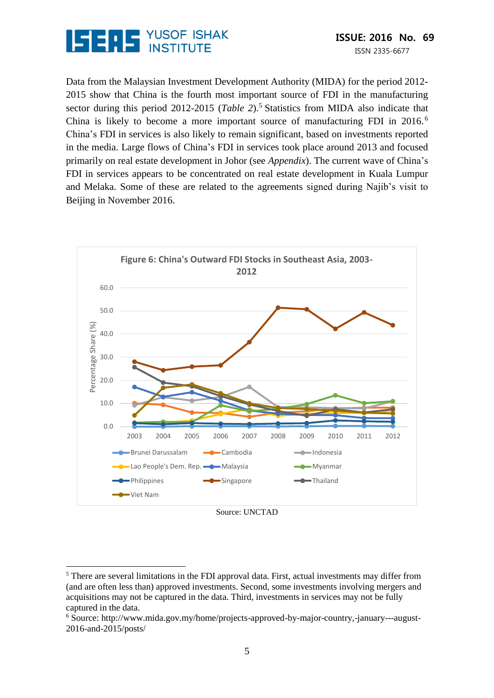

Data from the Malaysian Investment Development Authority (MIDA) for the period 2012- 2015 show that China is the fourth most important source of FDI in the manufacturing sector during this period 2012-2015 (*Table 2*).<sup>5</sup> Statistics from MIDA also indicate that China is likely to become a more important source of manufacturing FDI in 2016. <sup>6</sup> China's FDI in services is also likely to remain significant, based on investments reported in the media. Large flows of China's FDI in services took place around 2013 and focused primarily on real estate development in Johor (see *Appendix*). The current wave of China's FDI in services appears to be concentrated on real estate development in Kuala Lumpur and Melaka. Some of these are related to the agreements signed during Najib's visit to Beijing in November 2016.



Source: UNCTAD

<sup>&</sup>lt;sup>5</sup> There are several limitations in the FDI approval data. First, actual investments may differ from (and are often less than) approved investments. Second, some investments involving mergers and acquisitions may not be captured in the data. Third, investments in services may not be fully captured in the data.

<sup>6</sup> Source: http://www.mida.gov.my/home/projects-approved-by-major-country,-january---august-2016-and-2015/posts/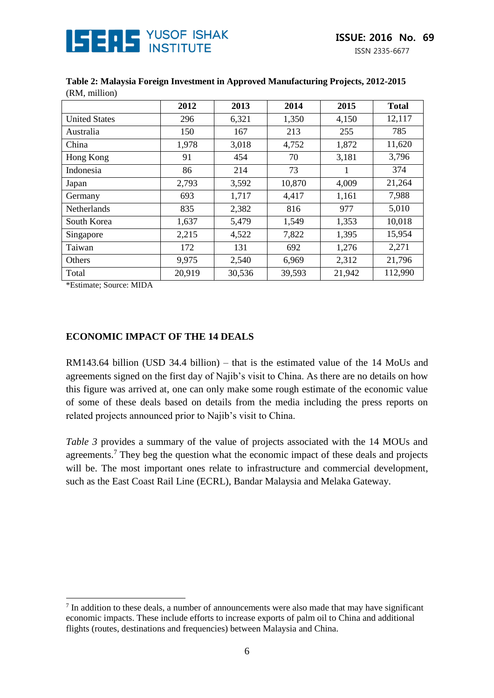

|                      | 2012   | 2013   | 2014   | 2015   | <b>Total</b> |
|----------------------|--------|--------|--------|--------|--------------|
| <b>United States</b> | 296    | 6,321  | 1,350  | 4,150  | 12,117       |
| Australia            | 150    | 167    | 213    | 255    | 785          |
| China                | 1,978  | 3,018  | 4,752  | 1,872  | 11,620       |
| Hong Kong            | 91     | 454    | 70     | 3,181  | 3,796        |
| Indonesia            | 86     | 214    | 73     | 1      | 374          |
| Japan                | 2,793  | 3,592  | 10,870 | 4,009  | 21,264       |
| Germany              | 693    | 1,717  | 4,417  | 1,161  | 7,988        |
| Netherlands          | 835    | 2,382  | 816    | 977    | 5,010        |
| South Korea          | 1,637  | 5,479  | 1,549  | 1,353  | 10,018       |
| Singapore            | 2,215  | 4,522  | 7,822  | 1,395  | 15,954       |
| Taiwan               | 172    | 131    | 692    | 1,276  | 2,271        |
| Others               | 9,975  | 2,540  | 6,969  | 2,312  | 21,796       |
| Total                | 20,919 | 30,536 | 39,593 | 21,942 | 112,990      |

**Table 2: Malaysia Foreign Investment in Approved Manufacturing Projects, 2012-2015** (RM, million)

\*Estimate; Source: MIDA

<u>.</u>

#### **ECONOMIC IMPACT OF THE 14 DEALS**

RM143.64 billion (USD 34.4 billion) – that is the estimated value of the 14 MoUs and agreements signed on the first day of Najib's visit to China. As there are no details on how this figure was arrived at, one can only make some rough estimate of the economic value of some of these deals based on details from the media including the press reports on related projects announced prior to Najib's visit to China.

*Table 3* provides a summary of the value of projects associated with the 14 MOUs and agreements.<sup>7</sup> They beg the question what the economic impact of these deals and projects will be. The most important ones relate to infrastructure and commercial development, such as the East Coast Rail Line (ECRL), Bandar Malaysia and Melaka Gateway.

<sup>&</sup>lt;sup>7</sup> In addition to these deals, a number of announcements were also made that may have significant economic impacts. These include efforts to increase exports of palm oil to China and additional flights (routes, destinations and frequencies) between Malaysia and China.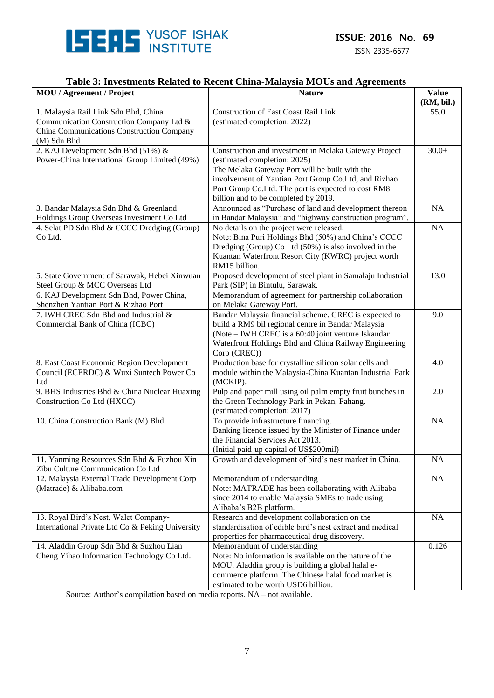

ISSN 2335-6677

# **Table 3: Investments Related to Recent China-Malaysia MOUs and Agreements**

| <b>MOU</b> / Agreement / Project                                                | <b>Nature</b>                                                                                               |            |
|---------------------------------------------------------------------------------|-------------------------------------------------------------------------------------------------------------|------------|
|                                                                                 |                                                                                                             | (RM, bil.) |
| 1. Malaysia Rail Link Sdn Bhd, China                                            | Construction of East Coast Rail Link                                                                        | 55.0       |
| Communication Construction Company Ltd &                                        | (estimated completion: 2022)                                                                                |            |
| China Communications Construction Company<br>(M) Sdn Bhd                        |                                                                                                             |            |
| 2. KAJ Development Sdn Bhd (51%) &                                              | Construction and investment in Melaka Gateway Project                                                       | $30.0+$    |
| Power-China International Group Limited (49%)                                   | (estimated completion: 2025)                                                                                |            |
|                                                                                 | The Melaka Gateway Port will be built with the                                                              |            |
|                                                                                 | involvement of Yantian Port Group Co.Ltd, and Rizhao                                                        |            |
|                                                                                 | Port Group Co.Ltd. The port is expected to cost RM8                                                         |            |
|                                                                                 | billion and to be completed by 2019.                                                                        |            |
| 3. Bandar Malaysia Sdn Bhd & Greenland                                          | Announced as "Purchase of land and development thereon                                                      | NA         |
| Holdings Group Overseas Investment Co Ltd                                       | in Bandar Malaysia" and "highway construction program".                                                     |            |
| 4. Selat PD Sdn Bhd & CCCC Dredging (Group)                                     | No details on the project were released.                                                                    | NA         |
| Co Ltd.                                                                         | Note: Bina Puri Holdings Bhd (50%) and China's CCCC                                                         |            |
|                                                                                 | Dredging (Group) Co Ltd (50%) is also involved in the                                                       |            |
|                                                                                 | Kuantan Waterfront Resort City (KWRC) project worth                                                         |            |
|                                                                                 | RM15 billion.                                                                                               |            |
| 5. State Government of Sarawak, Hebei Xinwuan                                   | Proposed development of steel plant in Samalaju Industrial                                                  | 13.0       |
| Steel Group & MCC Overseas Ltd                                                  | Park (SIP) in Bintulu, Sarawak.                                                                             |            |
| 6. KAJ Development Sdn Bhd, Power China,                                        | Memorandum of agreement for partnership collaboration                                                       |            |
| Shenzhen Yantian Port & Rizhao Port                                             | on Melaka Gateway Port.                                                                                     |            |
| 7. IWH CREC Sdn Bhd and Industrial &                                            | Bandar Malaysia financial scheme. CREC is expected to                                                       | 9.0        |
| Commercial Bank of China (ICBC)                                                 | build a RM9 bil regional centre in Bandar Malaysia                                                          |            |
|                                                                                 | (Note – IWH CREC is a 60:40 joint venture Iskandar<br>Waterfront Holdings Bhd and China Railway Engineering |            |
|                                                                                 | Corp (CREC))                                                                                                |            |
| 8. East Coast Economic Region Development                                       | Production base for crystalline silicon solar cells and                                                     | 4.0        |
| Council (ECERDC) & Wuxi Suntech Power Co                                        | module within the Malaysia-China Kuantan Industrial Park                                                    |            |
| Ltd                                                                             | (MCKIP).                                                                                                    |            |
| 9. BHS Industries Bhd & China Nuclear Huaxing                                   | Pulp and paper mill using oil palm empty fruit bunches in                                                   | 2.0        |
| Construction Co Ltd (HXCC)                                                      | the Green Technology Park in Pekan, Pahang.                                                                 |            |
|                                                                                 | (estimated completion: 2017)                                                                                |            |
| 10. China Construction Bank (M) Bhd                                             | To provide infrastructure financing.                                                                        | <b>NA</b>  |
|                                                                                 | Banking licence issued by the Minister of Finance under                                                     |            |
|                                                                                 | the Financial Services Act 2013.                                                                            |            |
|                                                                                 | (Initial paid-up capital of US\$200mil)                                                                     |            |
| 11. Yanming Resources Sdn Bhd & Fuzhou Xin<br>Zibu Culture Communication Co Ltd | Growth and development of bird's nest market in China.                                                      | <b>NA</b>  |
| 12. Malaysia External Trade Development Corp                                    | Memorandum of understanding                                                                                 | NA         |
| (Matrade) & Alibaba.com                                                         | Note: MATRADE has been collaborating with Alibaba                                                           |            |
|                                                                                 | since 2014 to enable Malaysia SMEs to trade using                                                           |            |
|                                                                                 | Alibaba's B2B platform.                                                                                     |            |
| 13. Royal Bird's Nest, Walet Company-                                           | Research and development collaboration on the                                                               | NA         |
| International Private Ltd Co & Peking University                                | standardisation of edible bird's nest extract and medical                                                   |            |
|                                                                                 | properties for pharmaceutical drug discovery.                                                               |            |
| 14. Aladdin Group Sdn Bhd & Suzhou Lian                                         | Memorandum of understanding                                                                                 | 0.126      |
| Cheng Yihao Information Technology Co Ltd.                                      | Note: No information is available on the nature of the                                                      |            |
|                                                                                 | MOU. Aladdin group is building a global halal e-                                                            |            |
|                                                                                 | commerce platform. The Chinese halal food market is                                                         |            |
|                                                                                 | estimated to be worth USD6 billion.                                                                         |            |

Source: Author's compilation based on media reports. NA – not available.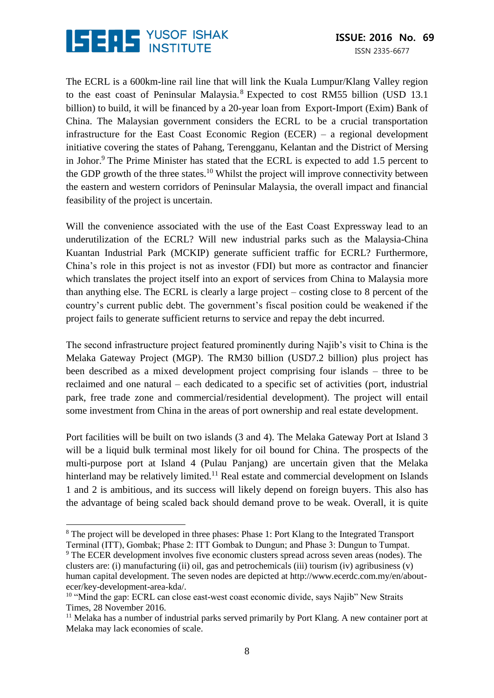

The ECRL is a 600km-line rail line that will link the Kuala Lumpur/Klang Valley region to the east coast of Peninsular Malaysia.<sup>8</sup> Expected to cost RM55 billion (USD 13.1) billion) to build, it will be financed by a 20-year loan from Export-Import (Exim) Bank of China. The Malaysian government considers the ECRL to be a crucial transportation infrastructure for the East Coast Economic Region (ECER) – a regional development initiative covering the states of Pahang, Terengganu, Kelantan and the District of Mersing in Johor.<sup>9</sup> The Prime Minister has stated that the ECRL is expected to add 1.5 percent to the GDP growth of the three states.<sup>10</sup> Whilst the project will improve connectivity between the eastern and western corridors of Peninsular Malaysia, the overall impact and financial feasibility of the project is uncertain.

Will the convenience associated with the use of the East Coast Expressway lead to an underutilization of the ECRL? Will new industrial parks such as the Malaysia-China Kuantan Industrial Park (MCKIP) generate sufficient traffic for ECRL? Furthermore, China's role in this project is not as investor (FDI) but more as contractor and financier which translates the project itself into an export of services from China to Malaysia more than anything else. The ECRL is clearly a large project – costing close to 8 percent of the country's current public debt. The government's fiscal position could be weakened if the project fails to generate sufficient returns to service and repay the debt incurred.

The second infrastructure project featured prominently during Najib's visit to China is the Melaka Gateway Project (MGP). The RM30 billion (USD7.2 billion) plus project has been described as a mixed development project comprising four islands – three to be reclaimed and one natural – each dedicated to a specific set of activities (port, industrial park, free trade zone and commercial/residential development). The project will entail some investment from China in the areas of port ownership and real estate development.

Port facilities will be built on two islands (3 and 4). The Melaka Gateway Port at Island 3 will be a liquid bulk terminal most likely for oil bound for China. The prospects of the multi-purpose port at Island 4 (Pulau Panjang) are uncertain given that the Melaka hinterland may be relatively limited.<sup>11</sup> Real estate and commercial development on Islands 1 and 2 is ambitious, and its success will likely depend on foreign buyers. This also has the advantage of being scaled back should demand prove to be weak. Overall, it is quite

<sup>&</sup>lt;sup>8</sup> The project will be developed in three phases: Phase 1: Port Klang to the Integrated Transport Terminal (ITT), Gombak; Phase 2: ITT Gombak to Dungun; and Phase 3: Dungun to Tumpat.

<sup>9</sup> The ECER development involves five economic clusters spread across seven areas (nodes). The clusters are: (i) manufacturing (ii) oil, gas and petrochemicals (iii) tourism (iv) agribusiness (v) human capital development. The seven nodes are depicted at http://www.ecerdc.com.my/en/aboutecer/key-development-area-kda/.

<sup>&</sup>lt;sup>10</sup> "Mind the gap: ECRL can close east-west coast economic divide, says Najib" New Straits Times, 28 November 2016.

 $<sup>11</sup>$  Melaka has a number of industrial parks served primarily by Port Klang. A new container port at</sup> Melaka may lack economies of scale.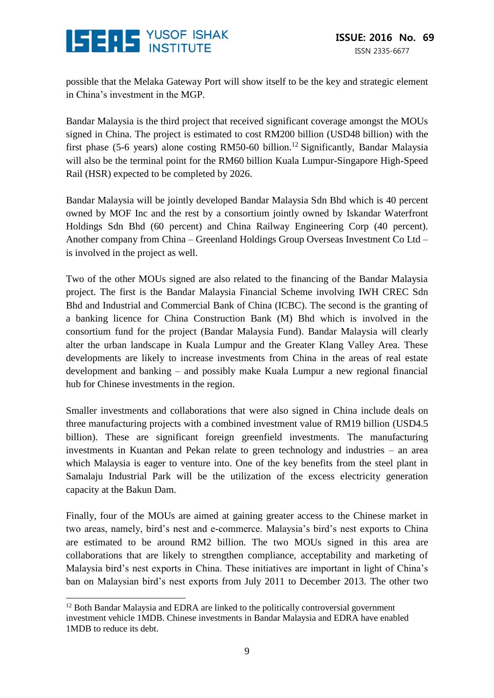

possible that the Melaka Gateway Port will show itself to be the key and strategic element in China's investment in the MGP.

Bandar Malaysia is the third project that received significant coverage amongst the MOUs signed in China. The project is estimated to cost RM200 billion (USD48 billion) with the first phase (5-6 years) alone costing RM50-60 billion.<sup>12</sup> Significantly, Bandar Malaysia will also be the terminal point for the RM60 billion Kuala Lumpur-Singapore High-Speed Rail (HSR) expected to be completed by 2026.

Bandar Malaysia will be jointly developed Bandar Malaysia Sdn Bhd which is 40 percent owned by MOF Inc and the rest by a consortium jointly owned by Iskandar Waterfront Holdings Sdn Bhd (60 percent) and China Railway Engineering Corp (40 percent). Another company from China – Greenland Holdings Group Overseas Investment Co Ltd – is involved in the project as well.

Two of the other MOUs signed are also related to the financing of the Bandar Malaysia project. The first is the Bandar Malaysia Financial Scheme involving IWH CREC Sdn Bhd and Industrial and Commercial Bank of China (ICBC). The second is the granting of a banking licence for China Construction Bank (M) Bhd which is involved in the consortium fund for the project (Bandar Malaysia Fund). Bandar Malaysia will clearly alter the urban landscape in Kuala Lumpur and the Greater Klang Valley Area. These developments are likely to increase investments from China in the areas of real estate development and banking – and possibly make Kuala Lumpur a new regional financial hub for Chinese investments in the region.

Smaller investments and collaborations that were also signed in China include deals on three manufacturing projects with a combined investment value of RM19 billion (USD4.5 billion). These are significant foreign greenfield investments. The manufacturing investments in Kuantan and Pekan relate to green technology and industries – an area which Malaysia is eager to venture into. One of the key benefits from the steel plant in Samalaju Industrial Park will be the utilization of the excess electricity generation capacity at the Bakun Dam.

Finally, four of the MOUs are aimed at gaining greater access to the Chinese market in two areas, namely, bird's nest and e-commerce. Malaysia's bird's nest exports to China are estimated to be around RM2 billion. The two MOUs signed in this area are collaborations that are likely to strengthen compliance, acceptability and marketing of Malaysia bird's nest exports in China. These initiatives are important in light of China's ban on Malaysian bird's nest exports from July 2011 to December 2013. The other two

<sup>&</sup>lt;u>.</u> <sup>12</sup> Both Bandar Malaysia and EDRA are linked to the politically controversial government investment vehicle 1MDB. Chinese investments in Bandar Malaysia and EDRA have enabled 1MDB to reduce its debt.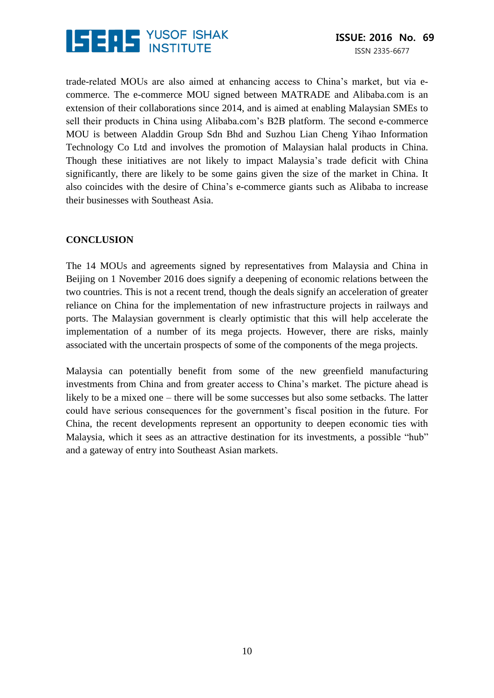

trade-related MOUs are also aimed at enhancing access to China's market, but via ecommerce. The e-commerce MOU signed between MATRADE and Alibaba.com is an extension of their collaborations since 2014, and is aimed at enabling Malaysian SMEs to sell their products in China using Alibaba.com's B2B platform. The second e-commerce MOU is between Aladdin Group Sdn Bhd and Suzhou Lian Cheng Yihao Information Technology Co Ltd and involves the promotion of Malaysian halal products in China. Though these initiatives are not likely to impact Malaysia's trade deficit with China significantly, there are likely to be some gains given the size of the market in China. It also coincides with the desire of China's e-commerce giants such as Alibaba to increase their businesses with Southeast Asia.

# **CONCLUSION**

The 14 MOUs and agreements signed by representatives from Malaysia and China in Beijing on 1 November 2016 does signify a deepening of economic relations between the two countries. This is not a recent trend, though the deals signify an acceleration of greater reliance on China for the implementation of new infrastructure projects in railways and ports. The Malaysian government is clearly optimistic that this will help accelerate the implementation of a number of its mega projects. However, there are risks, mainly associated with the uncertain prospects of some of the components of the mega projects.

Malaysia can potentially benefit from some of the new greenfield manufacturing investments from China and from greater access to China's market. The picture ahead is likely to be a mixed one – there will be some successes but also some setbacks. The latter could have serious consequences for the government's fiscal position in the future. For China, the recent developments represent an opportunity to deepen economic ties with Malaysia, which it sees as an attractive destination for its investments, a possible "hub" and a gateway of entry into Southeast Asian markets.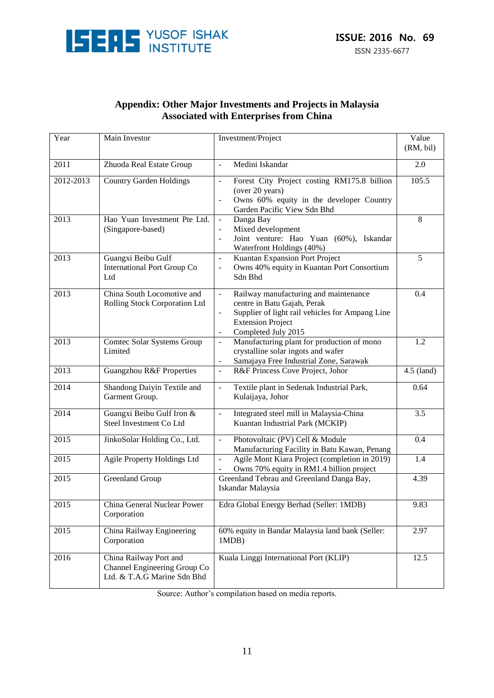

| <b>Appendix: Other Major Investments and Projects in Malaysia</b> |
|-------------------------------------------------------------------|
| <b>Associated with Enterprises from China</b>                     |

| Year              | Main Investor                                                                         | Investment/Project                                                                                                                                                                                                                           | Value<br>(RM, bil) |
|-------------------|---------------------------------------------------------------------------------------|----------------------------------------------------------------------------------------------------------------------------------------------------------------------------------------------------------------------------------------------|--------------------|
| 2011              | Zhuoda Real Estate Group                                                              | Medini Iskandar<br>$\frac{1}{2}$                                                                                                                                                                                                             | 2.0                |
| 2012-2013         | <b>Country Garden Holdings</b>                                                        | Forest City Project costing RM175.8 billion<br>$\frac{1}{2}$<br>(over 20 years)<br>Owns 60% equity in the developer Country<br>Garden Pacific View Sdn Bhd                                                                                   | 105.5              |
| 2013              | Hao Yuan Investment Pte Ltd.<br>(Singapore-based)                                     | Danga Bay<br>$\blacksquare$<br>Mixed development<br>$\overline{\phantom{a}}$<br>Joint venture: Hao Yuan (60%), Iskandar<br>$\overline{a}$<br>Waterfront Holdings (40%)                                                                       | 8                  |
| 2013              | Guangxi Beibu Gulf<br>International Port Group Co<br>Ltd                              | Kuantan Expansion Port Project<br>$\blacksquare$<br>Owns 40% equity in Kuantan Port Consortium<br>$\blacksquare$<br>Sdn Bhd                                                                                                                  | 5                  |
| 2013              | China South Locomotive and<br>Rolling Stock Corporation Ltd                           | Railway manufacturing and maintenance<br>$\Box$<br>centre in Batu Gajah, Perak<br>Supplier of light rail vehicles for Ampang Line<br>$\overline{\phantom{a}}$<br><b>Extension Project</b><br>Completed July 2015<br>$\overline{\phantom{a}}$ | 0.4                |
| 2013              | Comtec Solar Systems Group<br>Limited                                                 | Manufacturing plant for production of mono<br>$\blacksquare$<br>crystalline solar ingots and wafer<br>Samajaya Free Industrial Zone, Sarawak<br>$\qquad \qquad \blacksquare$                                                                 | 1.2                |
| 2013              | <b>Guangzhou R&amp;F Properties</b>                                                   | R&F Princess Cove Project, Johor<br>$\blacksquare$                                                                                                                                                                                           | 4.5 (land)         |
| 2014              | Shandong Daiyin Textile and<br>Garment Group.                                         | Textile plant in Sedenak Industrial Park,<br>$\frac{1}{2}$<br>Kulaijaya, Johor                                                                                                                                                               | 0.64               |
| 2014              | Guangxi Beibu Gulf Iron &<br>Steel Investment Co Ltd                                  | Integrated steel mill in Malaysia-China<br>$\blacksquare$<br>Kuantan Industrial Park (MCKIP)                                                                                                                                                 | 3.5                |
| 2015              | JinkoSolar Holding Co., Ltd.                                                          | Photovoltaic (PV) Cell & Module<br>$\blacksquare$<br>Manufacturing Facility in Batu Kawan, Penang                                                                                                                                            | 0.4                |
| 2015              | <b>Agile Property Holdings Ltd</b>                                                    | Agile Mont Kiara Project (completion in 2019)<br>$\blacksquare$<br>Owns 70% equity in RM1.4 billion project                                                                                                                                  | 1.4                |
| 2015              | <b>Greenland Group</b>                                                                | Greenland Tebrau and Greenland Danga Bay,<br>Iskandar Malaysia                                                                                                                                                                               | 4.39               |
| $\overline{2015}$ | China General Nuclear Power<br>Corporation                                            | Edra Global Energy Berhad (Seller: 1MDB)                                                                                                                                                                                                     | 9.83               |
| 2015              | China Railway Engineering<br>Corporation                                              | 60% equity in Bandar Malaysia land bank (Seller:<br>1MDB)                                                                                                                                                                                    | 2.97               |
| 2016              | China Railway Port and<br>Channel Engineering Group Co<br>Ltd. & T.A.G Marine Sdn Bhd | Kuala Linggi International Port (KLIP)                                                                                                                                                                                                       | 12.5               |

Source: Author's compilation based on media reports.